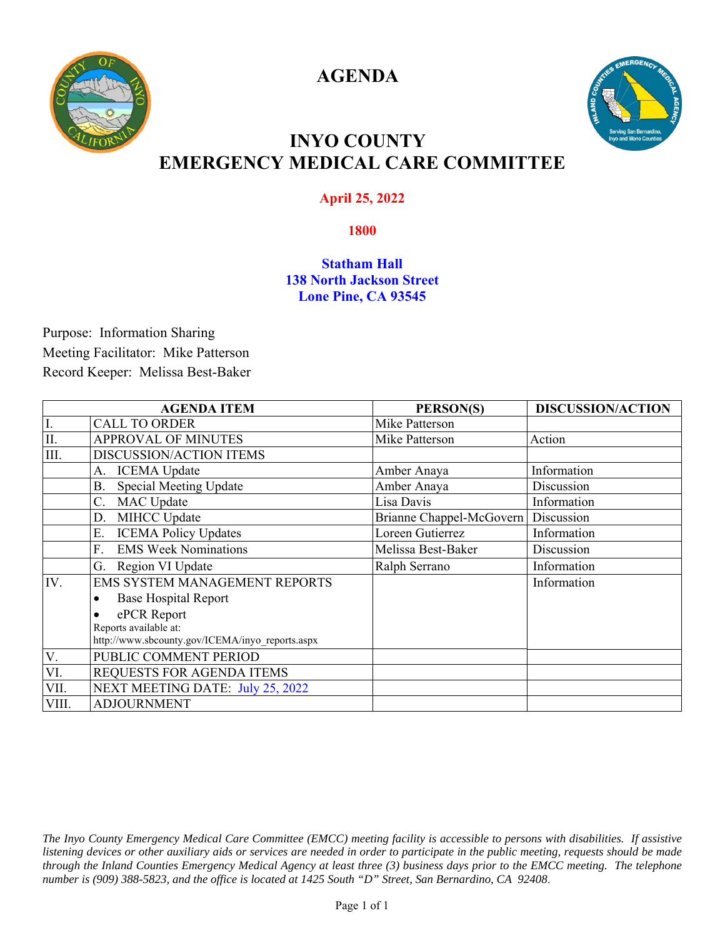

**AGENDA** 



### **INYO COUNTY EMERGENCY MEDICAL CARE COMMITTEE**

### **April 25, 2022**

### **1800**

#### **Statham Hall 138 North Jackson Street Lone Pine, CA 93545**

Purpose: Information Sharing Meeting Facilitator: Mike Patterson Record Keeper: Melissa Best-Baker

|       | <b>AGENDA ITEM</b>                              | PERSON(S)                | <b>DISCUSSION/ACTION</b> |
|-------|-------------------------------------------------|--------------------------|--------------------------|
| I.    | <b>CALL TO ORDER</b>                            | Mike Patterson           |                          |
| II.   | <b>APPROVAL OF MINUTES</b>                      | Mike Patterson           | Action                   |
| III.  | DISCUSSION/ACTION ITEMS                         |                          |                          |
|       | <b>ICEMA</b> Update<br>А.                       | Amber Anaya              | Information              |
|       | Special Meeting Update<br>В.                    | Amber Anaya              | Discussion               |
|       | <b>MAC</b> Update<br>C.                         | Lisa Davis               | Information              |
|       | MIHCC Update<br>D.                              | Brianne Chappel-McGovern | Discussion               |
|       | <b>ICEMA Policy Updates</b><br>Ε.               | Loreen Gutierrez         | Information              |
|       | <b>EMS Week Nominations</b><br>F.               | Melissa Best-Baker       | Discussion               |
|       | Region VI Update<br>G.                          | Ralph Serrano            | Information              |
| IV.   | <b>EMS SYSTEM MANAGEMENT REPORTS</b>            |                          | Information              |
|       | <b>Base Hospital Report</b>                     |                          |                          |
|       | ePCR Report                                     |                          |                          |
|       | Reports available at:                           |                          |                          |
|       | http://www.sbcounty.gov/ICEMA/inyo_reports.aspx |                          |                          |
| V.    | PUBLIC COMMENT PERIOD                           |                          |                          |
| VI.   | REQUESTS FOR AGENDA ITEMS                       |                          |                          |
| VII.  | NEXT MEETING DATE: July 25, 2022                |                          |                          |
| VIII. | <b>ADJOURNMENT</b>                              |                          |                          |

*The Inyo County Emergency Medical Care Committee (EMCC) meeting facility is accessible to persons with disabilities. If assistive listening devices or other auxiliary aids or services are needed in order to participate in the public meeting, requests should be made through the Inland Counties Emergency Medical Agency at least three (3) business days prior to the EMCC meeting. The telephone number is (909) 388-5823, and the office is located at 1425 South "D" Street, San Bernardino, CA 92408*.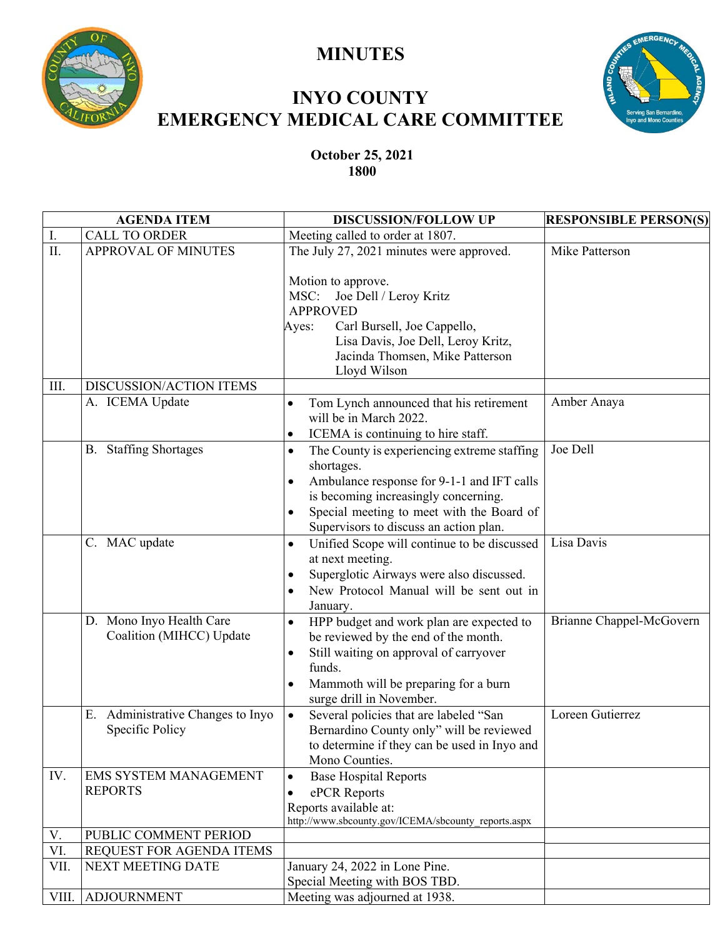

# **MINUTES**

# **INYO COUNTY EMERGENCY MEDICAL CARE COMMITTEE**



**October 25, 2021 1800** 

| <b>AGENDA ITEM</b> |                                                      | <b>DISCUSSION/FOLLOW UP</b>                                                                                                                                                                                                                                                   | <b>RESPONSIBLE PERSON(S)</b> |
|--------------------|------------------------------------------------------|-------------------------------------------------------------------------------------------------------------------------------------------------------------------------------------------------------------------------------------------------------------------------------|------------------------------|
| I.                 | <b>CALL TO ORDER</b>                                 | Meeting called to order at 1807.                                                                                                                                                                                                                                              |                              |
| II.                | <b>APPROVAL OF MINUTES</b>                           | The July 27, 2021 minutes were approved.                                                                                                                                                                                                                                      | Mike Patterson               |
|                    |                                                      | Motion to approve.<br>MSC:<br>Joe Dell / Leroy Kritz<br><b>APPROVED</b><br>Carl Bursell, Joe Cappello,<br>Ayes:<br>Lisa Davis, Joe Dell, Leroy Kritz,<br>Jacinda Thomsen, Mike Patterson<br>Lloyd Wilson                                                                      |                              |
| III.               | DISCUSSION/ACTION ITEMS                              |                                                                                                                                                                                                                                                                               |                              |
|                    | A. ICEMA Update                                      | Tom Lynch announced that his retirement<br>will be in March 2022.<br>ICEMA is continuing to hire staff.<br>$\bullet$                                                                                                                                                          | Amber Anaya                  |
|                    | <b>B.</b> Staffing Shortages                         | The County is experiencing extreme staffing<br>$\bullet$<br>shortages.<br>Ambulance response for 9-1-1 and IFT calls<br>$\bullet$<br>is becoming increasingly concerning.<br>Special meeting to meet with the Board of<br>$\bullet$<br>Supervisors to discuss an action plan. | Joe Dell                     |
|                    | C. MAC update                                        | Unified Scope will continue to be discussed<br>$\bullet$<br>at next meeting.<br>Superglotic Airways were also discussed.<br>$\bullet$<br>New Protocol Manual will be sent out in<br>$\bullet$<br>January.                                                                     | Lisa Davis                   |
|                    | D. Mono Inyo Health Care<br>Coalition (MIHCC) Update | HPP budget and work plan are expected to<br>$\bullet$<br>be reviewed by the end of the month.<br>Still waiting on approval of carryover<br>$\bullet$<br>funds.<br>Mammoth will be preparing for a burn<br>$\bullet$<br>surge drill in November.                               | Brianne Chappel-McGovern     |
|                    | E. Administrative Changes to Inyo<br>Specific Policy | Several policies that are labeled "San<br>Bernardino County only" will be reviewed<br>to determine if they can be used in Inyo and<br>Mono Counties.                                                                                                                          | Loreen Gutierrez             |
| IV.                | EMS SYSTEM MANAGEMENT<br><b>REPORTS</b>              | <b>Base Hospital Reports</b><br>$\bullet$<br>ePCR Reports<br>$\bullet$<br>Reports available at:<br>http://www.sbcounty.gov/ICEMA/sbcounty_reports.aspx                                                                                                                        |                              |
| V.                 | PUBLIC COMMENT PERIOD                                |                                                                                                                                                                                                                                                                               |                              |
| VI.                | REQUEST FOR AGENDA ITEMS                             |                                                                                                                                                                                                                                                                               |                              |
| VII.               | NEXT MEETING DATE                                    | January 24, 2022 in Lone Pine.                                                                                                                                                                                                                                                |                              |
|                    |                                                      | Special Meeting with BOS TBD.                                                                                                                                                                                                                                                 |                              |
| VIII.              | <b>ADJOURNMENT</b>                                   | Meeting was adjourned at 1938.                                                                                                                                                                                                                                                |                              |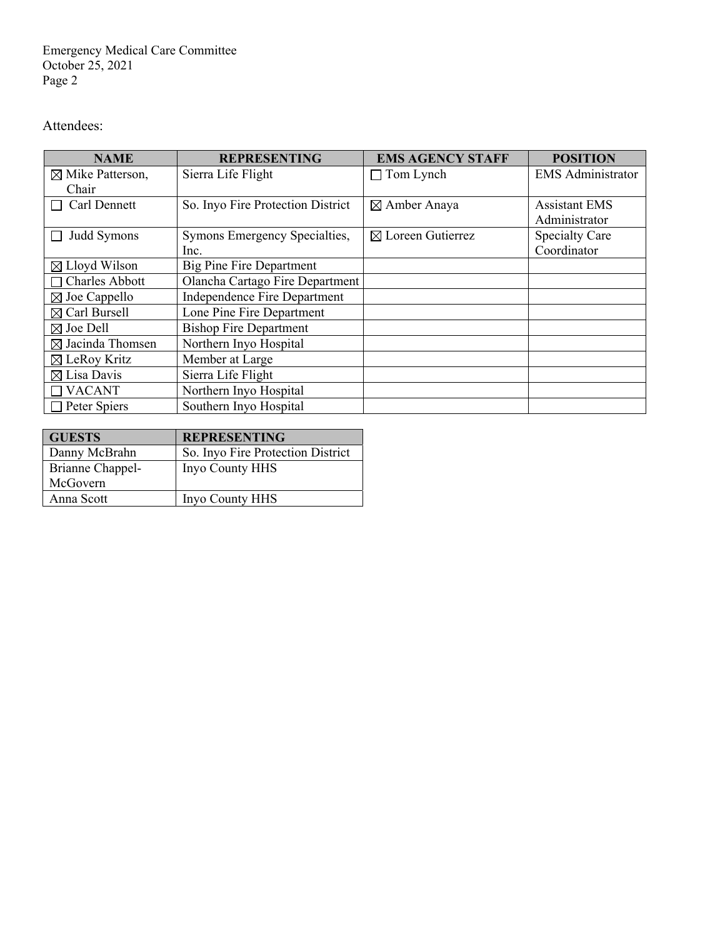Emergency Medical Care Committee October 25, 2021 Page 2

### Attendees:

| <b>NAME</b>                                              | <b>REPRESENTING</b>               | <b>EMS AGENCY STAFF</b>      | <b>POSITION</b>          |
|----------------------------------------------------------|-----------------------------------|------------------------------|--------------------------|
| $\boxtimes$ Mike Patterson,                              | Sierra Life Flight                | $\Box$ Tom Lynch             | <b>EMS</b> Administrator |
| Chair                                                    |                                   |                              |                          |
| Carl Dennett                                             | So. Inyo Fire Protection District | ⊠ Amber Anaya                | <b>Assistant EMS</b>     |
|                                                          |                                   |                              | Administrator            |
| Judd Symons                                              | Symons Emergency Specialties,     | $\boxtimes$ Loreen Gutierrez | <b>Specialty Care</b>    |
|                                                          | Inc.                              |                              | Coordinator              |
| $\boxtimes$ Lloyd Wilson                                 | <b>Big Pine Fire Department</b>   |                              |                          |
| <b>Charles Abbott</b>                                    | Olancha Cartago Fire Department   |                              |                          |
| Independence Fire Department<br>$\boxtimes$ Joe Cappello |                                   |                              |                          |
| $\boxtimes$ Carl Bursell<br>Lone Pine Fire Department    |                                   |                              |                          |
| <b>Bishop Fire Department</b><br>$\boxtimes$ Joe Dell    |                                   |                              |                          |
| $\boxtimes$ Jacinda Thomsen<br>Northern Inyo Hospital    |                                   |                              |                          |
| $\boxtimes$ LeRoy Kritz<br>Member at Large               |                                   |                              |                          |
| Sierra Life Flight<br>$\boxtimes$ Lisa Davis             |                                   |                              |                          |
| <b>VACANT</b><br>Northern Inyo Hospital                  |                                   |                              |                          |
| Southern Inyo Hospital<br>Peter Spiers                   |                                   |                              |                          |

| <b>GUESTS</b>    | <b>REPRESENTING</b>               |
|------------------|-----------------------------------|
| Danny McBrahn    | So. Inyo Fire Protection District |
| Brianne Chappel- | Inyo County HHS                   |
| McGovern         |                                   |
| Anna Scott       | Inyo County HHS                   |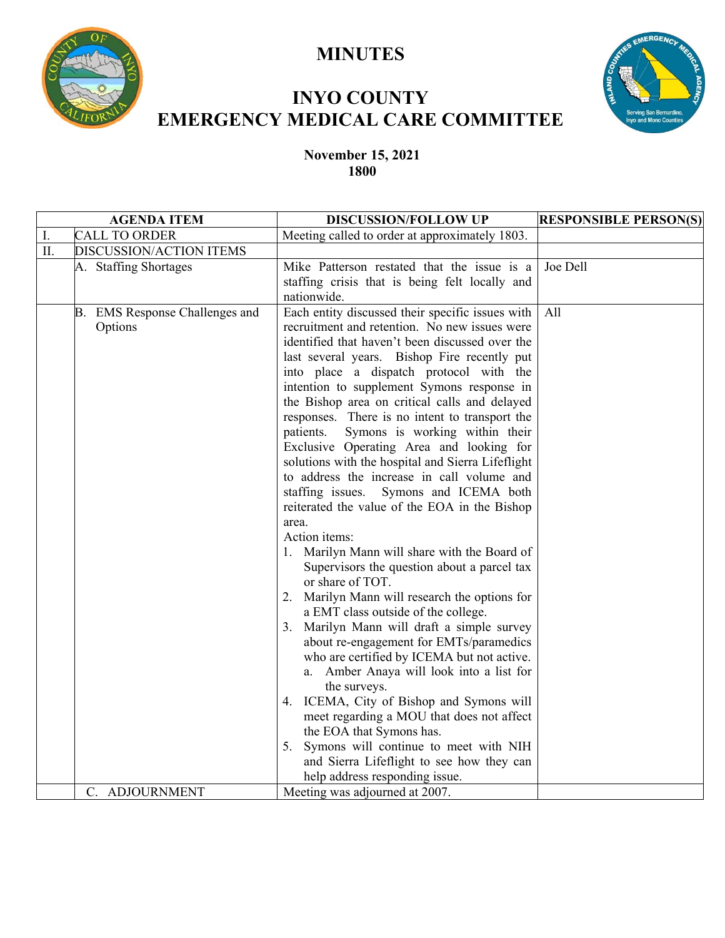

## **MINUTES**

# **INYO COUNTY EMERGENCY MEDICAL CARE COMMITTEE**



#### **November 15, 2021 1800**

| <b>AGENDA ITEM</b>         |                                           | <b>DISCUSSION/FOLLOW UP</b>                                                                                                                                                                                                                                                                                                                                                                                                                                                                                                                                                                                                                                                                                                                                                                                                                                                                                                                                                                                                                                                                                                                                                                                                                                                                                                                                                             | <b>RESPONSIBLE PERSON(S)</b> |  |
|----------------------------|-------------------------------------------|-----------------------------------------------------------------------------------------------------------------------------------------------------------------------------------------------------------------------------------------------------------------------------------------------------------------------------------------------------------------------------------------------------------------------------------------------------------------------------------------------------------------------------------------------------------------------------------------------------------------------------------------------------------------------------------------------------------------------------------------------------------------------------------------------------------------------------------------------------------------------------------------------------------------------------------------------------------------------------------------------------------------------------------------------------------------------------------------------------------------------------------------------------------------------------------------------------------------------------------------------------------------------------------------------------------------------------------------------------------------------------------------|------------------------------|--|
| Ι.<br><b>CALL TO ORDER</b> |                                           | Meeting called to order at approximately 1803.                                                                                                                                                                                                                                                                                                                                                                                                                                                                                                                                                                                                                                                                                                                                                                                                                                                                                                                                                                                                                                                                                                                                                                                                                                                                                                                                          |                              |  |
| $\prod$ .                  | DISCUSSION/ACTION ITEMS                   |                                                                                                                                                                                                                                                                                                                                                                                                                                                                                                                                                                                                                                                                                                                                                                                                                                                                                                                                                                                                                                                                                                                                                                                                                                                                                                                                                                                         |                              |  |
|                            | A. Staffing Shortages                     | Mike Patterson restated that the issue is a                                                                                                                                                                                                                                                                                                                                                                                                                                                                                                                                                                                                                                                                                                                                                                                                                                                                                                                                                                                                                                                                                                                                                                                                                                                                                                                                             | Joe Dell                     |  |
|                            |                                           | staffing crisis that is being felt locally and<br>nationwide.                                                                                                                                                                                                                                                                                                                                                                                                                                                                                                                                                                                                                                                                                                                                                                                                                                                                                                                                                                                                                                                                                                                                                                                                                                                                                                                           |                              |  |
|                            | B. EMS Response Challenges and<br>Options | Each entity discussed their specific issues with<br>recruitment and retention. No new issues were<br>identified that haven't been discussed over the<br>last several years. Bishop Fire recently put<br>into place a dispatch protocol with the<br>intention to supplement Symons response in<br>the Bishop area on critical calls and delayed<br>responses. There is no intent to transport the<br>Symons is working within their<br>patients.<br>Exclusive Operating Area and looking for<br>solutions with the hospital and Sierra Lifeflight<br>to address the increase in call volume and<br>staffing issues.<br>Symons and ICEMA both<br>reiterated the value of the EOA in the Bishop<br>area.<br>Action items:<br>1. Marilyn Mann will share with the Board of<br>Supervisors the question about a parcel tax<br>or share of TOT.<br>Marilyn Mann will research the options for<br>2.<br>a EMT class outside of the college.<br>3. Marilyn Mann will draft a simple survey<br>about re-engagement for EMTs/paramedics<br>who are certified by ICEMA but not active.<br>a. Amber Anaya will look into a list for<br>the surveys.<br>4. ICEMA, City of Bishop and Symons will<br>meet regarding a MOU that does not affect<br>the EOA that Symons has.<br>5. Symons will continue to meet with NIH<br>and Sierra Lifeflight to see how they can<br>help address responding issue. | All                          |  |
|                            | C. ADJOURNMENT                            | Meeting was adjourned at 2007.                                                                                                                                                                                                                                                                                                                                                                                                                                                                                                                                                                                                                                                                                                                                                                                                                                                                                                                                                                                                                                                                                                                                                                                                                                                                                                                                                          |                              |  |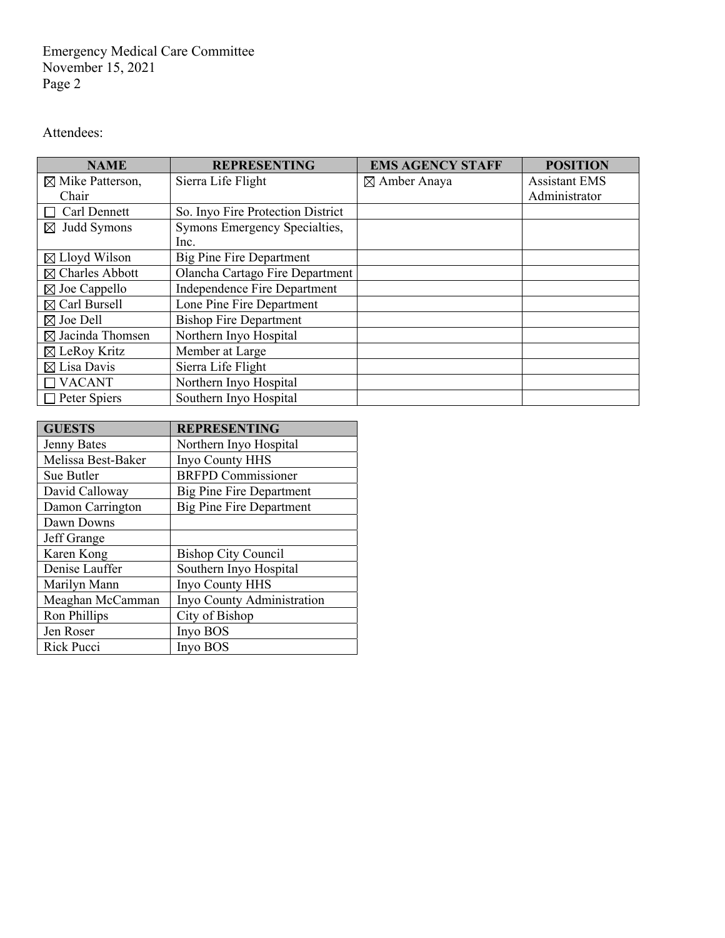Emergency Medical Care Committee November 15, 2021 Page 2

Attendees:

| <b>NAME</b>                                           | <b>REPRESENTING</b>                 | <b>EMS AGENCY STAFF</b> | <b>POSITION</b>      |
|-------------------------------------------------------|-------------------------------------|-------------------------|----------------------|
| $\boxtimes$ Mike Patterson,                           | Sierra Life Flight                  | $\boxtimes$ Amber Anaya | <b>Assistant EMS</b> |
| Chair                                                 |                                     |                         | Administrator        |
| Carl Dennett                                          | So. Inyo Fire Protection District   |                         |                      |
| $\boxtimes$ Judd Symons                               | Symons Emergency Specialties,       |                         |                      |
|                                                       | Inc.                                |                         |                      |
| $\boxtimes$ Lloyd Wilson                              | <b>Big Pine Fire Department</b>     |                         |                      |
| $\boxtimes$ Charles Abbott                            | Olancha Cartago Fire Department     |                         |                      |
| $\boxtimes$ Joe Cappello                              | <b>Independence Fire Department</b> |                         |                      |
| $\boxtimes$ Carl Bursell<br>Lone Pine Fire Department |                                     |                         |                      |
| $\boxtimes$ Joe Dell<br><b>Bishop Fire Department</b> |                                     |                         |                      |
| $\boxtimes$ Jacinda Thomsen<br>Northern Inyo Hospital |                                     |                         |                      |
| $\boxtimes$ LeRoy Kritz                               | Member at Large                     |                         |                      |
| $\boxtimes$ Lisa Davis                                | Sierra Life Flight                  |                         |                      |
| <b>VACANT</b>                                         | Northern Inyo Hospital              |                         |                      |
| Peter Spiers                                          | Southern Inyo Hospital              |                         |                      |

| <b>GUESTS</b>      | <b>REPRESENTING</b>             |
|--------------------|---------------------------------|
| <b>Jenny Bates</b> | Northern Inyo Hospital          |
| Melissa Best-Baker | Inyo County HHS                 |
| Sue Butler         | <b>BRFPD Commissioner</b>       |
| David Calloway     | Big Pine Fire Department        |
| Damon Carrington   | <b>Big Pine Fire Department</b> |
| Dawn Downs         |                                 |
| Jeff Grange        |                                 |
| Karen Kong         | <b>Bishop City Council</b>      |
| Denise Lauffer     | Southern Inyo Hospital          |
| Marilyn Mann       | Inyo County HHS                 |
| Meaghan McCamman   | Inyo County Administration      |
| Ron Phillips       | City of Bishop                  |
| Jen Roser          | Inyo BOS                        |
| Rick Pucci         | Invo BOS                        |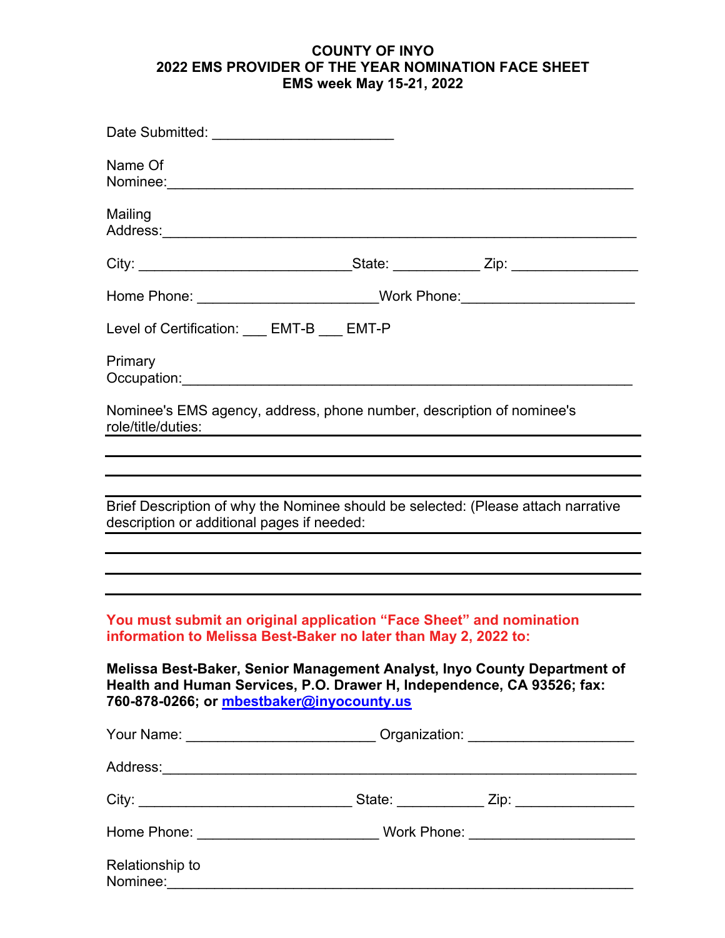#### **COUNTY OF INYO 2022 EMS PROVIDER OF THE YEAR NOMINATION FACE SHEET EMS week May 15-21, 2022**

| Date Submitted: ____________________________                                                                                           |                                                                                                                       |                                                                                  |
|----------------------------------------------------------------------------------------------------------------------------------------|-----------------------------------------------------------------------------------------------------------------------|----------------------------------------------------------------------------------|
| Name Of                                                                                                                                |                                                                                                                       |                                                                                  |
| Mailing                                                                                                                                |                                                                                                                       |                                                                                  |
|                                                                                                                                        |                                                                                                                       |                                                                                  |
|                                                                                                                                        |                                                                                                                       | Home Phone: __________________________Work Phone:_______________________________ |
| Level of Certification: EMT-B __ EMT-P                                                                                                 |                                                                                                                       |                                                                                  |
| Primary<br>Occupation: <u>www.common.common.common.common.com</u>                                                                      |                                                                                                                       |                                                                                  |
| Nominee's EMS agency, address, phone number, description of nominee's<br>role/title/duties:                                            | <u> 1980 - Johann Barbara, martxa alemaniar amerikan basar da da a shekara a shekara a shekara a shekara a shekar</u> |                                                                                  |
|                                                                                                                                        |                                                                                                                       |                                                                                  |
|                                                                                                                                        |                                                                                                                       |                                                                                  |
| Brief Description of why the Nominee should be selected: (Please attach narrative<br>description or additional pages if needed:        |                                                                                                                       |                                                                                  |
|                                                                                                                                        |                                                                                                                       |                                                                                  |
|                                                                                                                                        |                                                                                                                       |                                                                                  |
| You must submit an original application "Face Sheet" and nomination<br>information to Melissa Best-Baker no later than May 2, 2022 to: |                                                                                                                       |                                                                                  |
| Health and Human Services, P.O. Drawer H, Independence, CA 93526; fax:<br>760-878-0266; or mbestbaker@inyocounty.us                    |                                                                                                                       | Melissa Best-Baker, Senior Management Analyst, Inyo County Department of         |
|                                                                                                                                        |                                                                                                                       | Your Name: _____________________________Organization: __________________________ |
|                                                                                                                                        |                                                                                                                       |                                                                                  |
|                                                                                                                                        |                                                                                                                       |                                                                                  |
|                                                                                                                                        |                                                                                                                       |                                                                                  |
| Relationship to                                                                                                                        |                                                                                                                       |                                                                                  |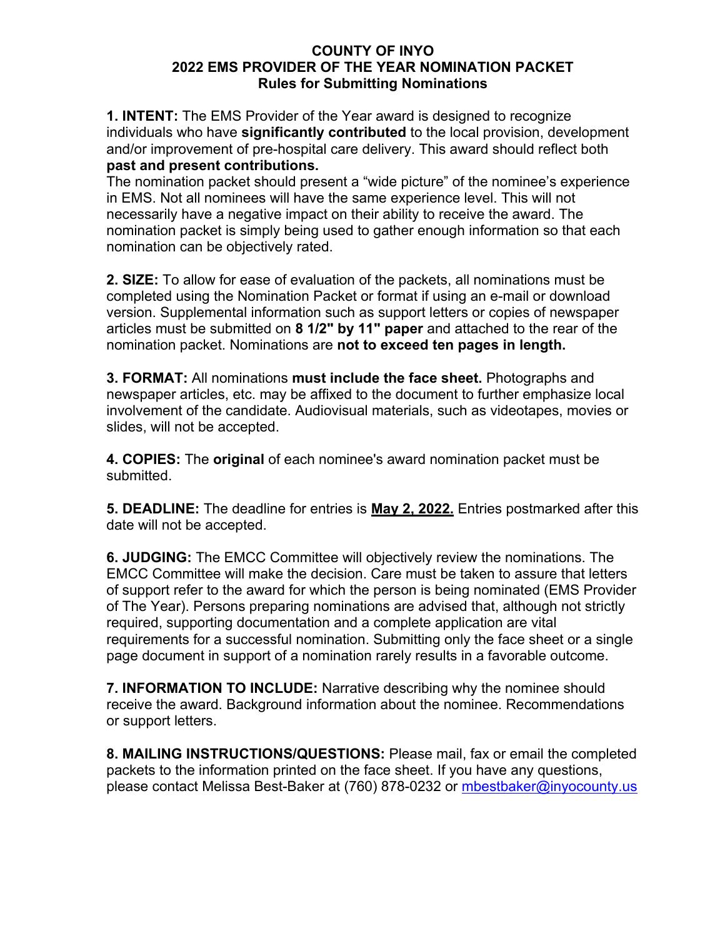#### **COUNTY OF INYO 2022 EMS PROVIDER OF THE YEAR NOMINATION PACKET Rules for Submitting Nominations**

**1. INTENT:** The EMS Provider of the Year award is designed to recognize individuals who have **significantly contributed** to the local provision, development and/or improvement of pre-hospital care delivery. This award should reflect both **past and present contributions.** 

The nomination packet should present a "wide picture" of the nominee's experience in EMS. Not all nominees will have the same experience level. This will not necessarily have a negative impact on their ability to receive the award. The nomination packet is simply being used to gather enough information so that each nomination can be objectively rated.

**2. SIZE:** To allow for ease of evaluation of the packets, all nominations must be completed using the Nomination Packet or format if using an e-mail or download version. Supplemental information such as support letters or copies of newspaper articles must be submitted on **8 1/2" by 11" paper** and attached to the rear of the nomination packet. Nominations are **not to exceed ten pages in length.** 

**3. FORMAT:** All nominations **must include the face sheet.** Photographs and newspaper articles, etc. may be affixed to the document to further emphasize local involvement of the candidate. Audiovisual materials, such as videotapes, movies or slides, will not be accepted.

**4. COPIES:** The **original** of each nominee's award nomination packet must be submitted.

**5. DEADLINE:** The deadline for entries is **May 2, 2022.** Entries postmarked after this date will not be accepted.

**6. JUDGING:** The EMCC Committee will objectively review the nominations. The EMCC Committee will make the decision. Care must be taken to assure that letters of support refer to the award for which the person is being nominated (EMS Provider of The Year). Persons preparing nominations are advised that, although not strictly required, supporting documentation and a complete application are vital requirements for a successful nomination. Submitting only the face sheet or a single page document in support of a nomination rarely results in a favorable outcome.

**7. INFORMATION TO INCLUDE:** Narrative describing why the nominee should receive the award. Background information about the nominee. Recommendations or support letters.

**8. MAILING INSTRUCTIONS/QUESTIONS:** Please mail, fax or email the completed packets to the information printed on the face sheet. If you have any questions, please contact Melissa Best-Baker at (760) 878-0232 or mbestbaker@inyocounty.us